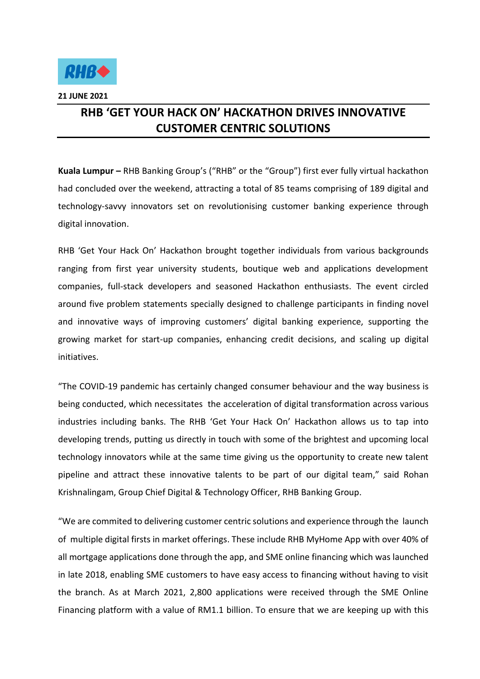

## **RHB 'GET YOUR HACK ON' HACKATHON DRIVES INNOVATIVE CUSTOMER CENTRIC SOLUTIONS**

**Kuala Lumpur –** RHB Banking Group's ("RHB" or the "Group") first ever fully virtual hackathon had concluded over the weekend, attracting a total of 85 teams comprising of 189 digital and technology-savvy innovators set on revolutionising customer banking experience through digital innovation.

RHB 'Get Your Hack On' Hackathon brought together individuals from various backgrounds ranging from first year university students, boutique web and applications development companies, full-stack developers and seasoned Hackathon enthusiasts. The event circled around five problem statements specially designed to challenge participants in finding novel and innovative ways of improving customers' digital banking experience, supporting the growing market for start-up companies, enhancing credit decisions, and scaling up digital initiatives.

"The COVID-19 pandemic has certainly changed consumer behaviour and the way business is being conducted, which necessitates the acceleration of digital transformation across various industries including banks. The RHB 'Get Your Hack On' Hackathon allows us to tap into developing trends, putting us directly in touch with some of the brightest and upcoming local technology innovators while at the same time giving us the opportunity to create new talent pipeline and attract these innovative talents to be part of our digital team," said Rohan Krishnalingam, Group Chief Digital & Technology Officer, RHB Banking Group.

"We are commited to delivering customer centric solutions and experience through the launch of multiple digital firsts in market offerings. These include RHB MyHome App with over 40% of all mortgage applications done through the app, and SME online financing which was launched in late 2018, enabling SME customers to have easy access to financing without having to visit the branch. As at March 2021, 2,800 applications were received through the SME Online Financing platform with a value of RM1.1 billion. To ensure that we are keeping up with this